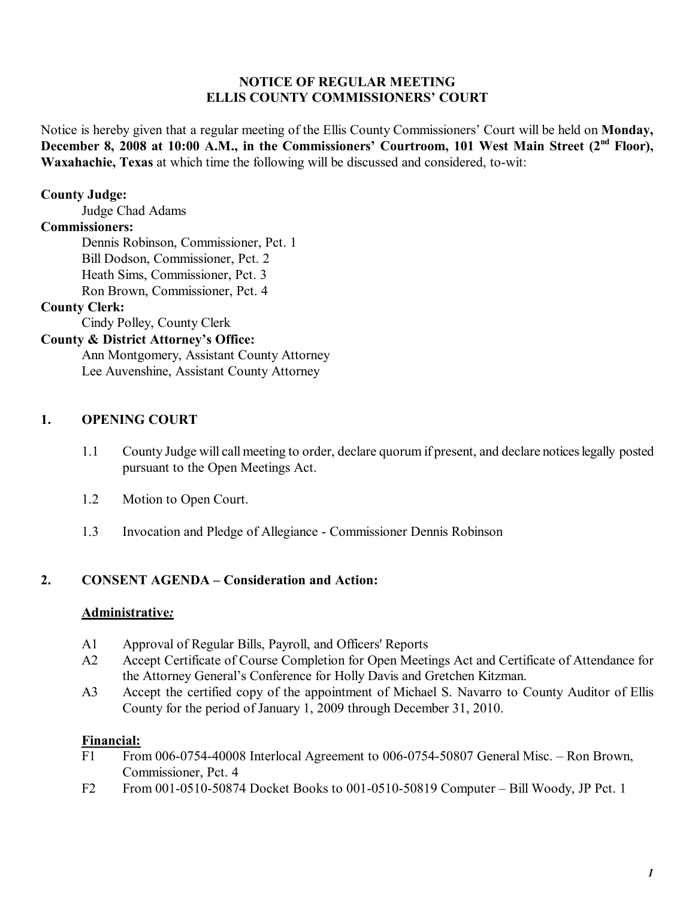#### **NOTICE OF REGULAR MEETING ELLIS COUNTY COMMISSIONERS' COURT**

Notice is hereby given that a regular meeting of the Ellis County Commissioners' Court will be held on **Monday**, **December 8, 2008 at 10:00 A.M., in the Commissioners' Courtroom, 101 West Main Street (2<sup>nd</sup> Floor), Waxahachie, Texas** at which time the following will be discussed and considered, to-wit:

### **County Judge:**

Judge Chad Adams

### **Commissioners:**

 Dennis Robinson, Commissioner, Pct. 1 Bill Dodson, Commissioner, Pct. 2 Heath Sims, Commissioner, Pct. 3 Ron Brown, Commissioner, Pct. 4

### **County Clerk:**

Cindy Polley, County Clerk

# **County & District Attorney's Office:**

 Ann Montgomery, Assistant County Attorney Lee Auvenshine, Assistant County Attorney

### **1. OPENING COURT**

- 1.1 County Judge will call meeting to order, declare quorum if present, and declare notices legally posted pursuant to the Open Meetings Act.
- 1.2 Motion to Open Court.
- 1.3 Invocation and Pledge of Allegiance Commissioner Dennis Robinson

# **2. CONSENT AGENDA – Consideration and Action:**

#### **Administrative***:*

- A1 Approval of Regular Bills, Payroll, and Officers' Reports
- A2 Accept Certificate of Course Completion for Open Meetings Act and Certificate of Attendance for the Attorney General's Conference for Holly Davis and Gretchen Kitzman.
- A3 Accept the certified copy of the appointment of Michael S. Navarro to County Auditor of Ellis County for the period of January 1, 2009 through December 31, 2010.

#### **Financial:**

- F1 From 006-0754-40008 Interlocal Agreement to 006-0754-50807 General Misc. Ron Brown, Commissioner, Pct. 4
- F2 From 001-0510-50874 Docket Books to 001-0510-50819 Computer Bill Woody, JP Pct. 1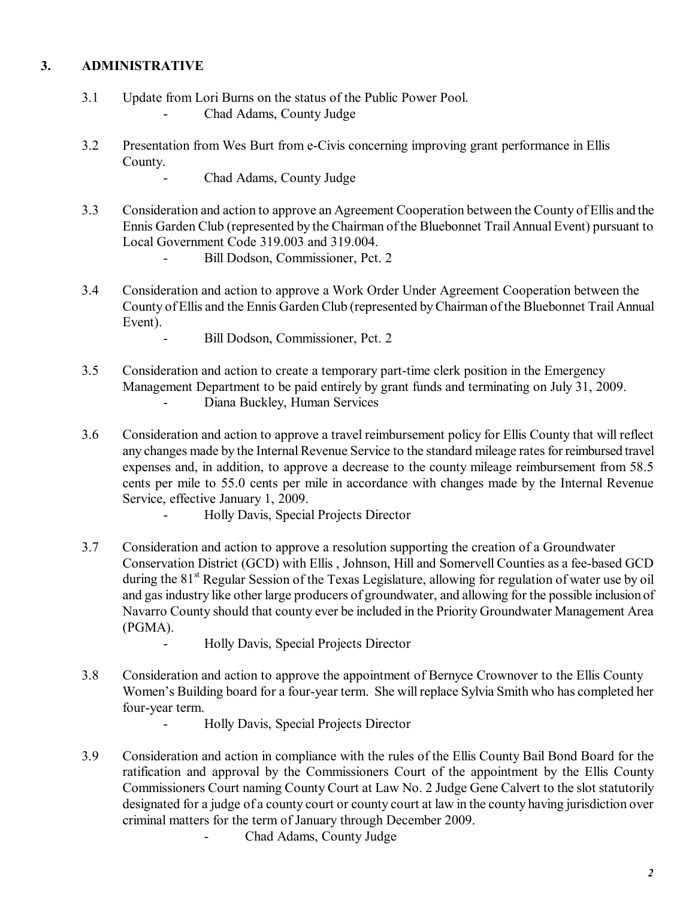# **3. ADMINISTRATIVE**

- 3.1 Update from Lori Burns on the status of the Public Power Pool. - Chad Adams, County Judge
- 3.2 Presentation from Wes Burt from e-Civis concerning improving grant performance in Ellis County.
	- Chad Adams, County Judge
- 3.3 Consideration and action to approve an Agreement Cooperation between the County of Ellis and the Ennis Garden Club (represented by the Chairman of the Bluebonnet Trail Annual Event) pursuant to Local Government Code 319.003 and 319.004.
	- Bill Dodson, Commissioner, Pct. 2
- 3.4 Consideration and action to approve a Work Order Under Agreement Cooperation between the County of Ellis and the Ennis Garden Club (represented by Chairman of the Bluebonnet Trail Annual Event).
	- Bill Dodson, Commissioner, Pct. 2
- 3.5 Consideration and action to create a temporary part-time clerk position in the Emergency Management Department to be paid entirely by grant funds and terminating on July 31, 2009. - Diana Buckley, Human Services
- 3.6 Consideration and action to approve a travel reimbursement policy for Ellis County that will reflect any changes made by the Internal Revenue Service to the standard mileage rates for reimbursed travel expenses and, in addition, to approve a decrease to the county mileage reimbursement from 58.5 cents per mile to 55.0 cents per mile in accordance with changes made by the Internal Revenue Service, effective January 1, 2009.
	- Holly Davis, Special Projects Director
- 3.7 Consideration and action to approve a resolution supporting the creation of a Groundwater Conservation District (GCD) with Ellis , Johnson, Hill and Somervell Counties as a fee-based GCD during the 81<sup>st</sup> Regular Session of the Texas Legislature, allowing for regulation of water use by oil and gas industry like other large producers of groundwater, and allowing for the possible inclusion of Navarro County should that county ever be included in the Priority Groundwater Management Area (PGMA).
	- Holly Davis, Special Projects Director
- 3.8 Consideration and action to approve the appointment of Bernyce Crownover to the Ellis County Women's Building board for a four-year term. She will replace Sylvia Smith who has completed her four-year term.
	- Holly Davis, Special Projects Director
- 3.9 Consideration and action in compliance with the rules of the Ellis County Bail Bond Board for the ratification and approval by the Commissioners Court of the appointment by the Ellis County Commissioners Court naming County Court at Law No. 2 Judge Gene Calvert to the slot statutorily designated for a judge of a county court or county court at law in the county having jurisdiction over criminal matters for the term of January through December 2009.
	- Chad Adams, County Judge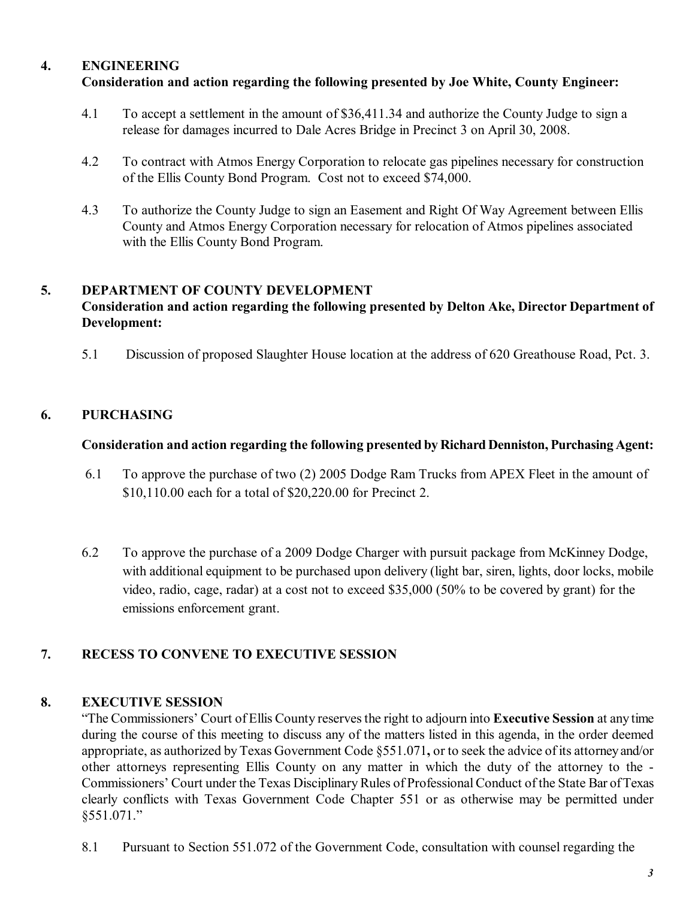#### **4. ENGINEERING Consideration and action regarding the following presented by Joe White, County Engineer:**

- 4.1 To accept a settlement in the amount of \$36,411.34 and authorize the County Judge to sign a release for damages incurred to Dale Acres Bridge in Precinct 3 on April 30, 2008.
- 4.2 To contract with Atmos Energy Corporation to relocate gas pipelines necessary for construction of the Ellis County Bond Program. Cost not to exceed \$74,000.
- 4.3 To authorize the County Judge to sign an Easement and Right Of Way Agreement between Ellis County and Atmos Energy Corporation necessary for relocation of Atmos pipelines associated with the Ellis County Bond Program.

# **5. DEPARTMENT OF COUNTY DEVELOPMENT**

# **Consideration and action regarding the following presented by Delton Ake, Director Department of Development:**

5.1 Discussion of proposed Slaughter House location at the address of 620 Greathouse Road, Pct. 3.

# **6. PURCHASING**

### **Consideration and action regarding the following presented by Richard Denniston, Purchasing Agent:**

- 6.1 To approve the purchase of two (2) 2005 Dodge Ram Trucks from APEX Fleet in the amount of \$10,110.00 each for a total of \$20,220.00 for Precinct 2.
- 6.2 To approve the purchase of a 2009 Dodge Charger with pursuit package from McKinney Dodge, with additional equipment to be purchased upon delivery (light bar, siren, lights, door locks, mobile video, radio, cage, radar) at a cost not to exceed \$35,000 (50% to be covered by grant) for the emissions enforcement grant.

# **7. RECESS TO CONVENE TO EXECUTIVE SESSION**

# **8. EXECUTIVE SESSION**

ìThe Commissionersí Court of Ellis County reserves the right to adjourn into **Executive Session** at any time during the course of this meeting to discuss any of the matters listed in this agenda, in the order deemed appropriate, as authorized by Texas Government Code ß551.071**,** or to seek the advice of its attorney and/or other attorneys representing Ellis County on any matter in which the duty of the attorney to the - Commissioners' Court under the Texas Disciplinary Rules of Professional Conduct of the State Bar of Texas clearly conflicts with Texas Government Code Chapter 551 or as otherwise may be permitted under  $$551.071."$ 

8.1 Pursuant to Section 551.072 of the Government Code, consultation with counsel regarding the